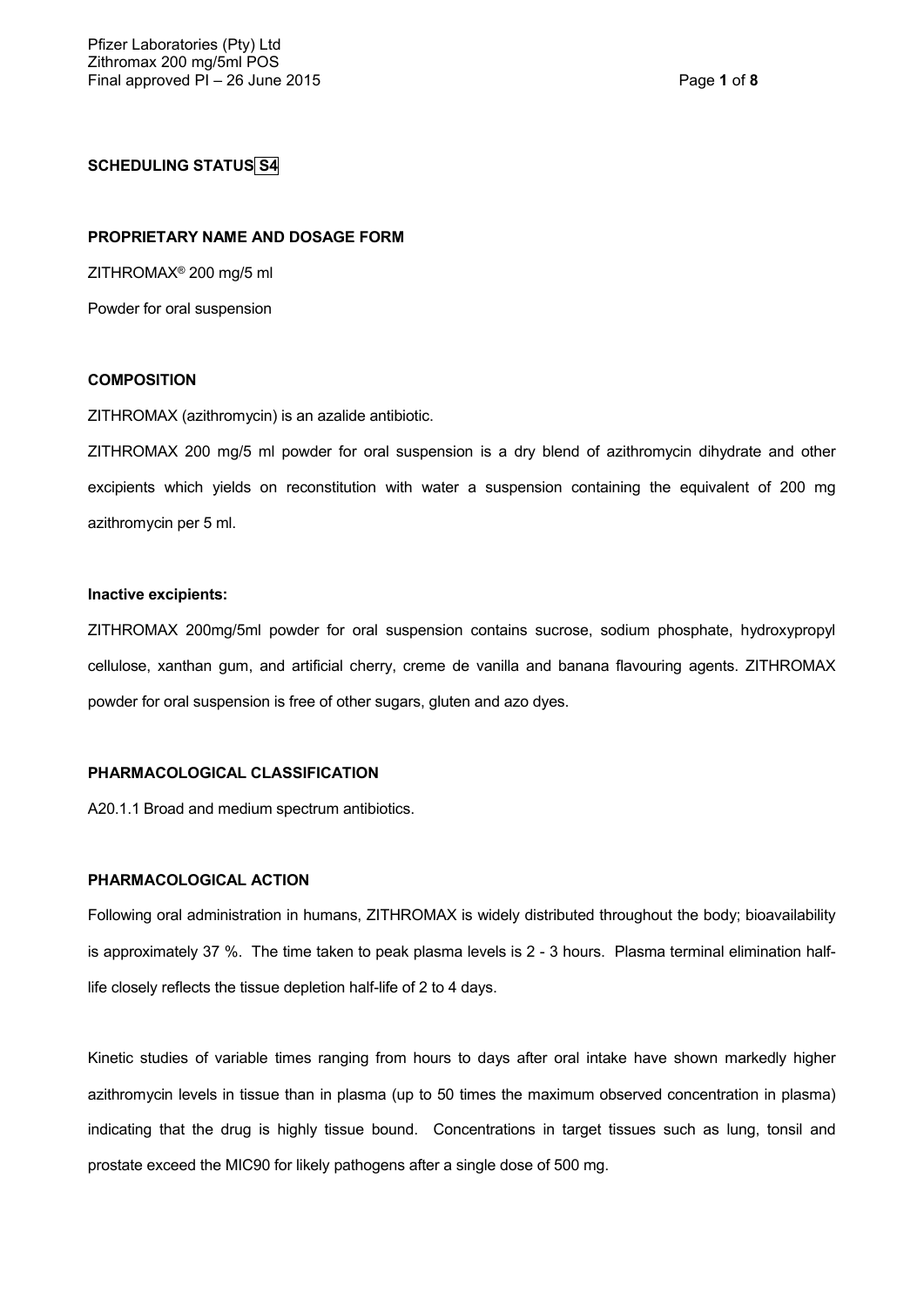## **SCHEDULING STATUS S4**

## **PROPRIETARY NAME AND DOSAGE FORM**

ZITHROMAX® 200 mg/5 ml

Powder for oral suspension

#### **COMPOSITION**

ZITHROMAX (azithromycin) is an azalide antibiotic.

ZITHROMAX 200 mg/5 ml powder for oral suspension is a dry blend of azithromycin dihydrate and other excipients which yields on reconstitution with water a suspension containing the equivalent of 200 mg azithromycin per 5 ml.

#### **Inactive excipients:**

ZITHROMAX 200mg/5ml powder for oral suspension contains sucrose, sodium phosphate, hydroxypropyl cellulose, xanthan gum, and artificial cherry, creme de vanilla and banana flavouring agents. ZITHROMAX powder for oral suspension is free of other sugars, gluten and azo dyes.

## **PHARMACOLOGICAL CLASSIFICATION**

A20.1.1 Broad and medium spectrum antibiotics.

#### **PHARMACOLOGICAL ACTION**

Following oral administration in humans, ZITHROMAX is widely distributed throughout the body; bioavailability is approximately 37 %. The time taken to peak plasma levels is 2 - 3 hours. Plasma terminal elimination halflife closely reflects the tissue depletion half-life of 2 to 4 days.

Kinetic studies of variable times ranging from hours to days after oral intake have shown markedly higher azithromycin levels in tissue than in plasma (up to 50 times the maximum observed concentration in plasma) indicating that the drug is highly tissue bound. Concentrations in target tissues such as lung, tonsil and prostate exceed the MIC90 for likely pathogens after a single dose of 500 mg.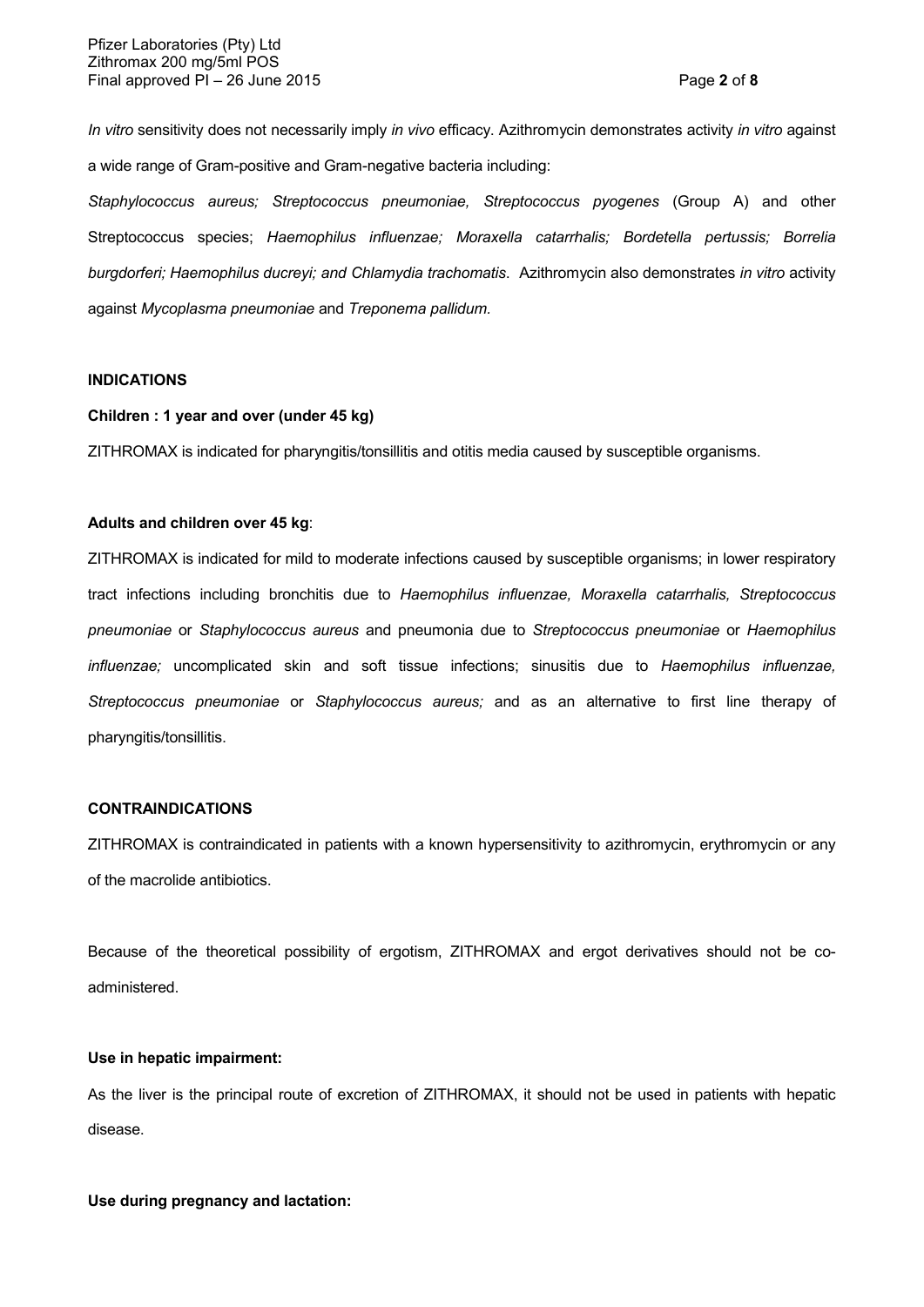*In vitro* sensitivity does not necessarily imply *in vivo* efficacy. Azithromycin demonstrates activity *in vitro* against a wide range of Gram-positive and Gram-negative bacteria including:

*Staphylococcus aureus; Streptococcus pneumoniae, Streptococcus pyogenes* (Group A) and other Streptococcus species; *Haemophilus influenzae; Moraxella catarrhalis; Bordetella pertussis; Borrelia burgdorferi; Haemophilus ducreyi; and Chlamydia trachomatis*. Azithromycin also demonstrates *in vitro* activity against *Mycoplasma pneumoniae* and *Treponema pallidum.*

### **INDICATIONS**

## **Children : 1 year and over (under 45 kg)**

ZITHROMAX is indicated for pharyngitis/tonsillitis and otitis media caused by susceptible organisms.

## **Adults and children over 45 kg**:

ZITHROMAX is indicated for mild to moderate infections caused by susceptible organisms; in lower respiratory tract infections including bronchitis due to *Haemophilus influenzae, Moraxella catarrhalis, Streptococcus pneumoniae* or *Staphylococcus aureus* and pneumonia due to *Streptococcus pneumoniae* or *Haemophilus influenzae;* uncomplicated skin and soft tissue infections; sinusitis due to *Haemophilus influenzae, Streptococcus pneumoniae* or *Staphylococcus aureus;* and as an alternative to first line therapy of pharyngitis/tonsillitis.

## **CONTRAINDICATIONS**

ZITHROMAX is contraindicated in patients with a known hypersensitivity to azithromycin, erythromycin or any of the macrolide antibiotics.

Because of the theoretical possibility of ergotism, ZITHROMAX and ergot derivatives should not be coadministered.

#### **Use in hepatic impairment:**

As the liver is the principal route of excretion of ZITHROMAX, it should not be used in patients with hepatic disease.

## **Use during pregnancy and lactation:**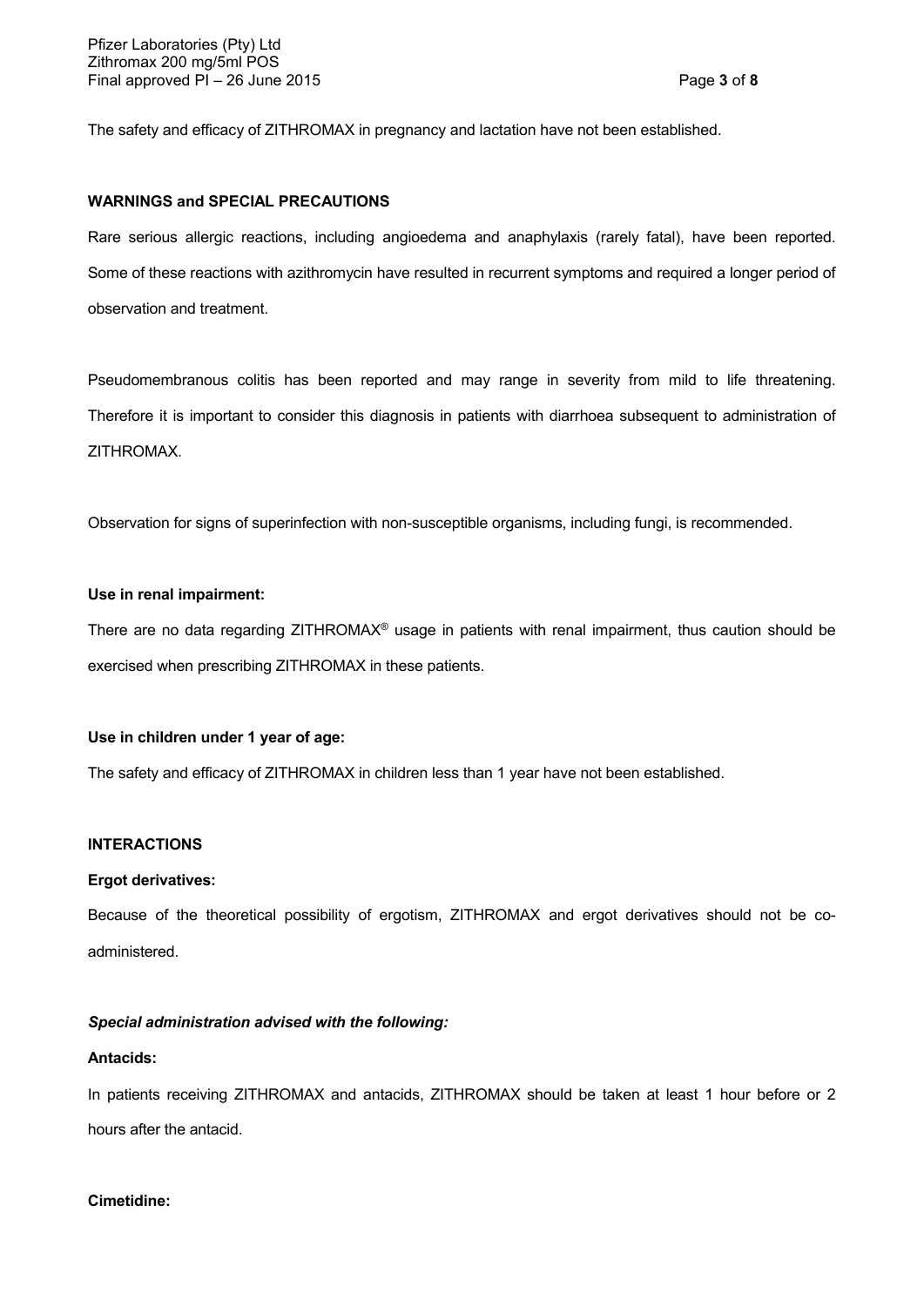The safety and efficacy of ZITHROMAX in pregnancy and lactation have not been established.

## **WARNINGS and SPECIAL PRECAUTIONS**

Rare serious allergic reactions, including angioedema and anaphylaxis (rarely fatal), have been reported. Some of these reactions with azithromycin have resulted in recurrent symptoms and required a longer period of observation and treatment.

Pseudomembranous colitis has been reported and may range in severity from mild to life threatening. Therefore it is important to consider this diagnosis in patients with diarrhoea subsequent to administration of ZITHROMAX.

Observation for signs of superinfection with non-susceptible organisms, including fungi, is recommended.

### **Use in renal impairment:**

There are no data regarding ZITHROMAX® usage in patients with renal impairment, thus caution should be exercised when prescribing ZITHROMAX in these patients.

#### **Use in children under 1 year of age:**

The safety and efficacy of ZITHROMAX in children less than 1 year have not been established.

## **INTERACTIONS**

#### **Ergot derivatives:**

Because of the theoretical possibility of ergotism, ZITHROMAX and ergot derivatives should not be coadministered.

## *Special administration advised with the following:*

#### **Antacids:**

In patients receiving ZITHROMAX and antacids, ZITHROMAX should be taken at least 1 hour before or 2 hours after the antacid.

### **Cimetidine:**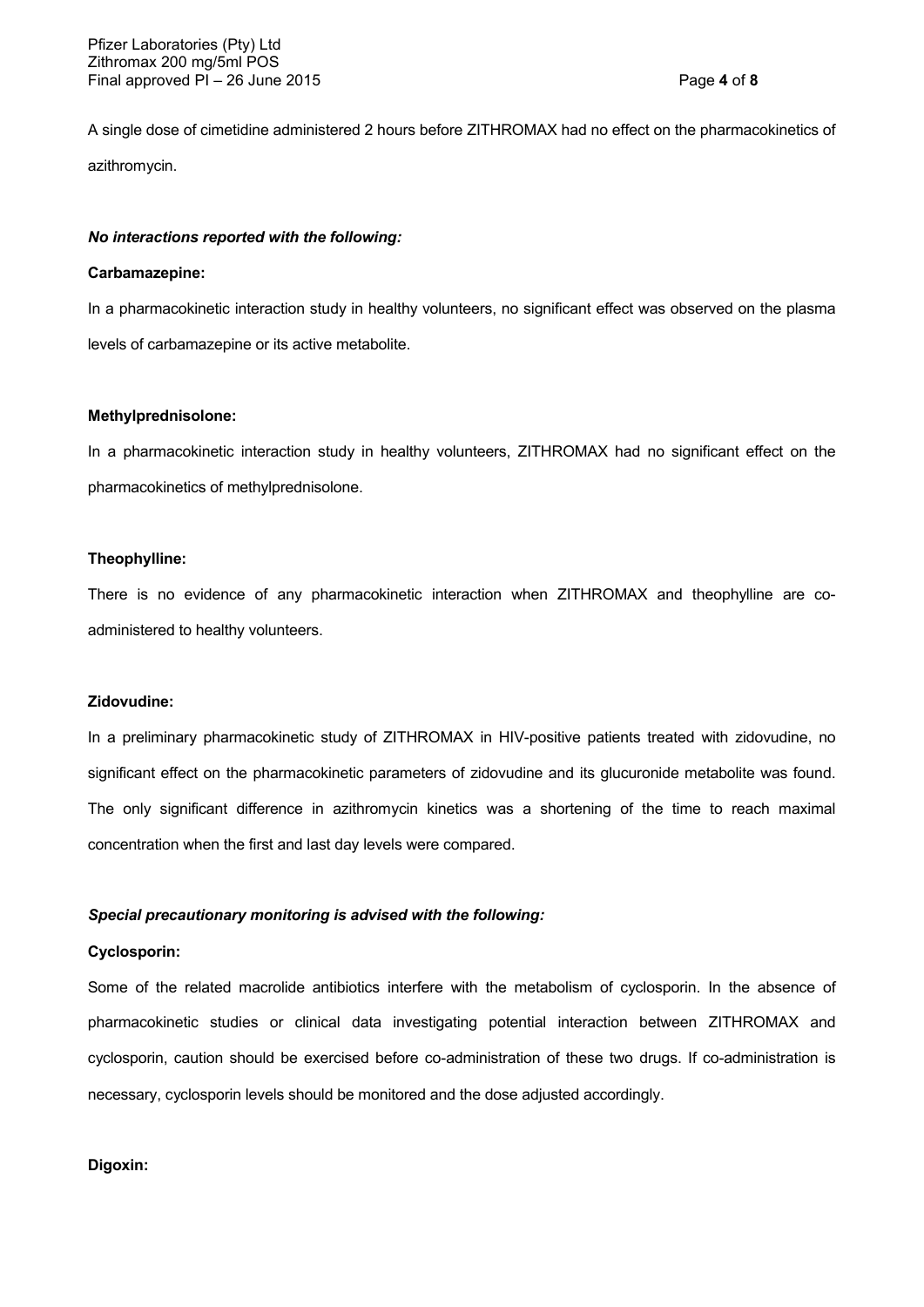A single dose of cimetidine administered 2 hours before ZITHROMAX had no effect on the pharmacokinetics of azithromycin.

### *No interactions reported with the following:*

#### **Carbamazepine:**

In a pharmacokinetic interaction study in healthy volunteers, no significant effect was observed on the plasma levels of carbamazepine or its active metabolite.

### **Methylprednisolone:**

In a pharmacokinetic interaction study in healthy volunteers, ZITHROMAX had no significant effect on the pharmacokinetics of methylprednisolone.

### **Theophylline:**

There is no evidence of any pharmacokinetic interaction when ZITHROMAX and theophylline are coadministered to healthy volunteers.

#### **Zidovudine:**

In a preliminary pharmacokinetic study of ZITHROMAX in HIV-positive patients treated with zidovudine, no significant effect on the pharmacokinetic parameters of zidovudine and its glucuronide metabolite was found. The only significant difference in azithromycin kinetics was a shortening of the time to reach maximal concentration when the first and last day levels were compared.

### *Special precautionary monitoring is advised with the following:*

## **Cyclosporin:**

Some of the related macrolide antibiotics interfere with the metabolism of cyclosporin. In the absence of pharmacokinetic studies or clinical data investigating potential interaction between ZITHROMAX and cyclosporin, caution should be exercised before co-administration of these two drugs. If co-administration is necessary, cyclosporin levels should be monitored and the dose adjusted accordingly.

### **Digoxin:**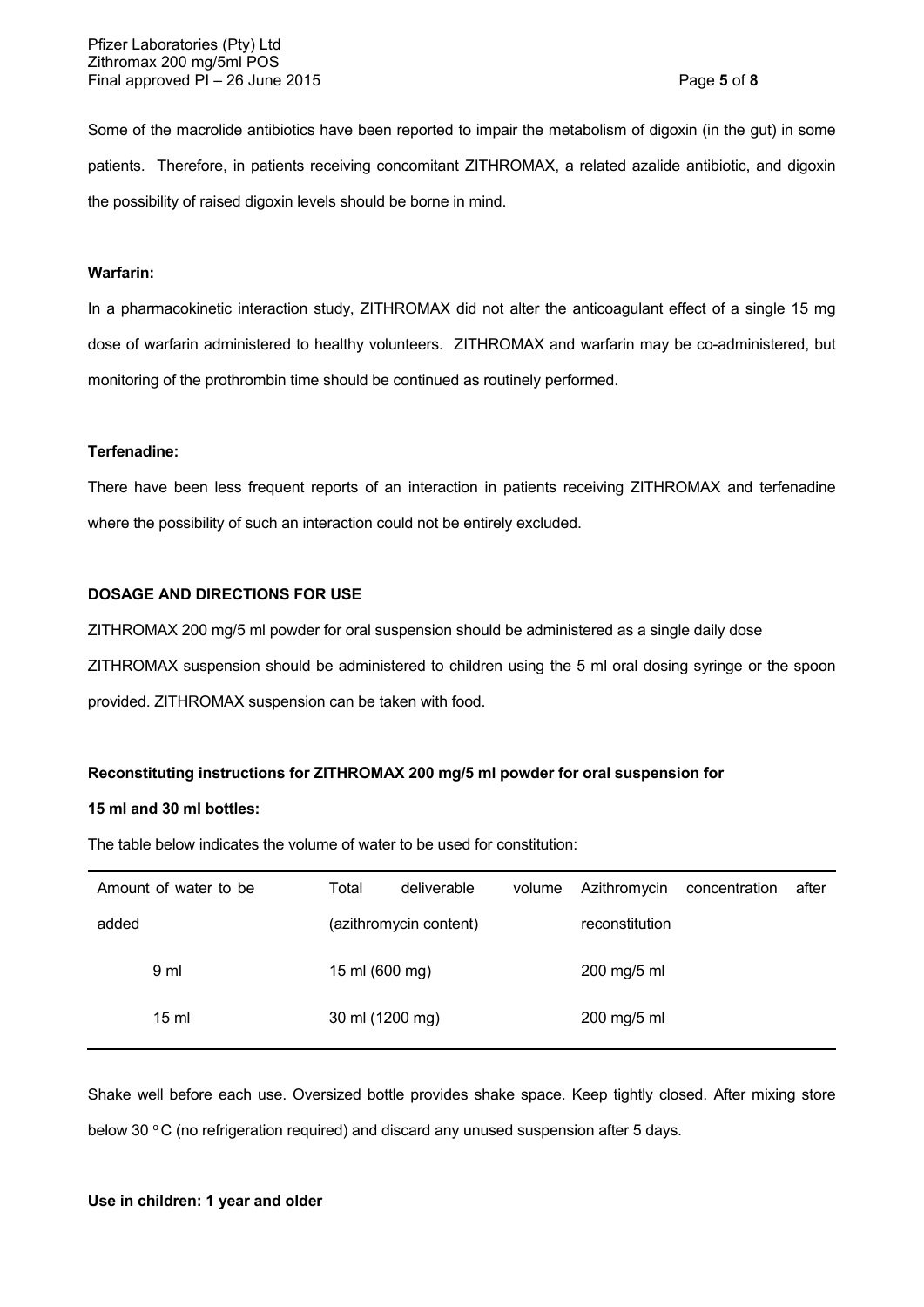Pfizer Laboratories (Pty) Ltd Zithromax 200 mg/5ml POS Final approved PI – 26 June 2015 Page **5** of **8**

Some of the macrolide antibiotics have been reported to impair the metabolism of digoxin (in the gut) in some patients. Therefore, in patients receiving concomitant ZITHROMAX, a related azalide antibiotic, and digoxin the possibility of raised digoxin levels should be borne in mind.

## **Warfarin:**

In a pharmacokinetic interaction study, ZITHROMAX did not alter the anticoagulant effect of a single 15 mg dose of warfarin administered to healthy volunteers. ZITHROMAX and warfarin may be co-administered, but monitoring of the prothrombin time should be continued as routinely performed.

#### **Terfenadine:**

There have been less frequent reports of an interaction in patients receiving ZITHROMAX and terfenadine where the possibility of such an interaction could not be entirely excluded.

## **DOSAGE AND DIRECTIONS FOR USE**

ZITHROMAX 200 mg/5 ml powder for oral suspension should be administered as a single daily dose ZITHROMAX suspension should be administered to children using the 5 ml oral dosing syringe or the spoon provided. ZITHROMAX suspension can be taken with food.

### **Reconstituting instructions for ZITHROMAX 200 mg/5 ml powder for oral suspension for**

## **15 ml and 30 ml bottles:**

The table below indicates the volume of water to be used for constitution:

| Amount of water to be | Total                  | deliverable | volume | Azithromycin   | concentration | after |
|-----------------------|------------------------|-------------|--------|----------------|---------------|-------|
| added                 | (azithromycin content) |             |        | reconstitution |               |       |
| 9 ml                  | 15 ml (600 mg)         |             |        | 200 mg/5 ml    |               |       |
| $15 \mathrm{m}$       | 30 ml (1200 mg)        |             |        | 200 mg/5 ml    |               |       |
|                       |                        |             |        |                |               |       |

Shake well before each use. Oversized bottle provides shake space. Keep tightly closed. After mixing store below 30 °C (no refrigeration required) and discard any unused suspension after 5 days.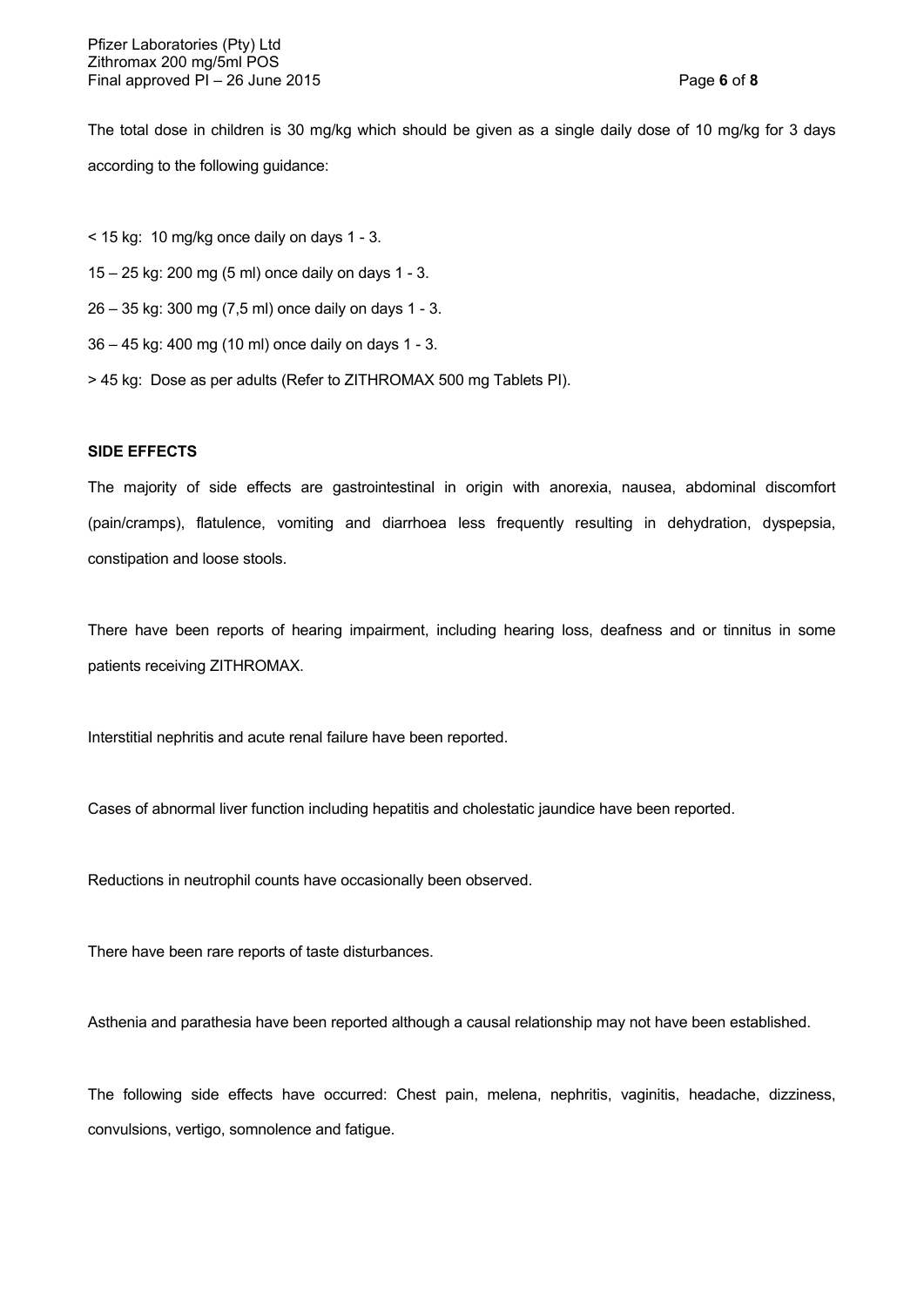The total dose in children is 30 mg/kg which should be given as a single daily dose of 10 mg/kg for 3 days according to the following guidance:

- < 15 kg: 10 mg/kg once daily on days 1 3.
- 15 25 kg: 200 mg (5 ml) once daily on days 1 3.
- 26 35 kg: 300 mg (7,5 ml) once daily on days 1 3.
- 36 45 kg: 400 mg (10 ml) once daily on days 1 3.
- > 45 kg: Dose as per adults (Refer to ZITHROMAX 500 mg Tablets PI).

## **SIDE EFFECTS**

The majority of side effects are gastrointestinal in origin with anorexia, nausea, abdominal discomfort (pain/cramps), flatulence, vomiting and diarrhoea less frequently resulting in dehydration, dyspepsia, constipation and loose stools.

There have been reports of hearing impairment, including hearing loss, deafness and or tinnitus in some patients receiving ZITHROMAX.

Interstitial nephritis and acute renal failure have been reported.

Cases of abnormal liver function including hepatitis and cholestatic jaundice have been reported.

Reductions in neutrophil counts have occasionally been observed.

There have been rare reports of taste disturbances.

Asthenia and parathesia have been reported although a causal relationship may not have been established.

The following side effects have occurred: Chest pain, melena, nephritis, vaginitis, headache, dizziness, convulsions, vertigo, somnolence and fatigue.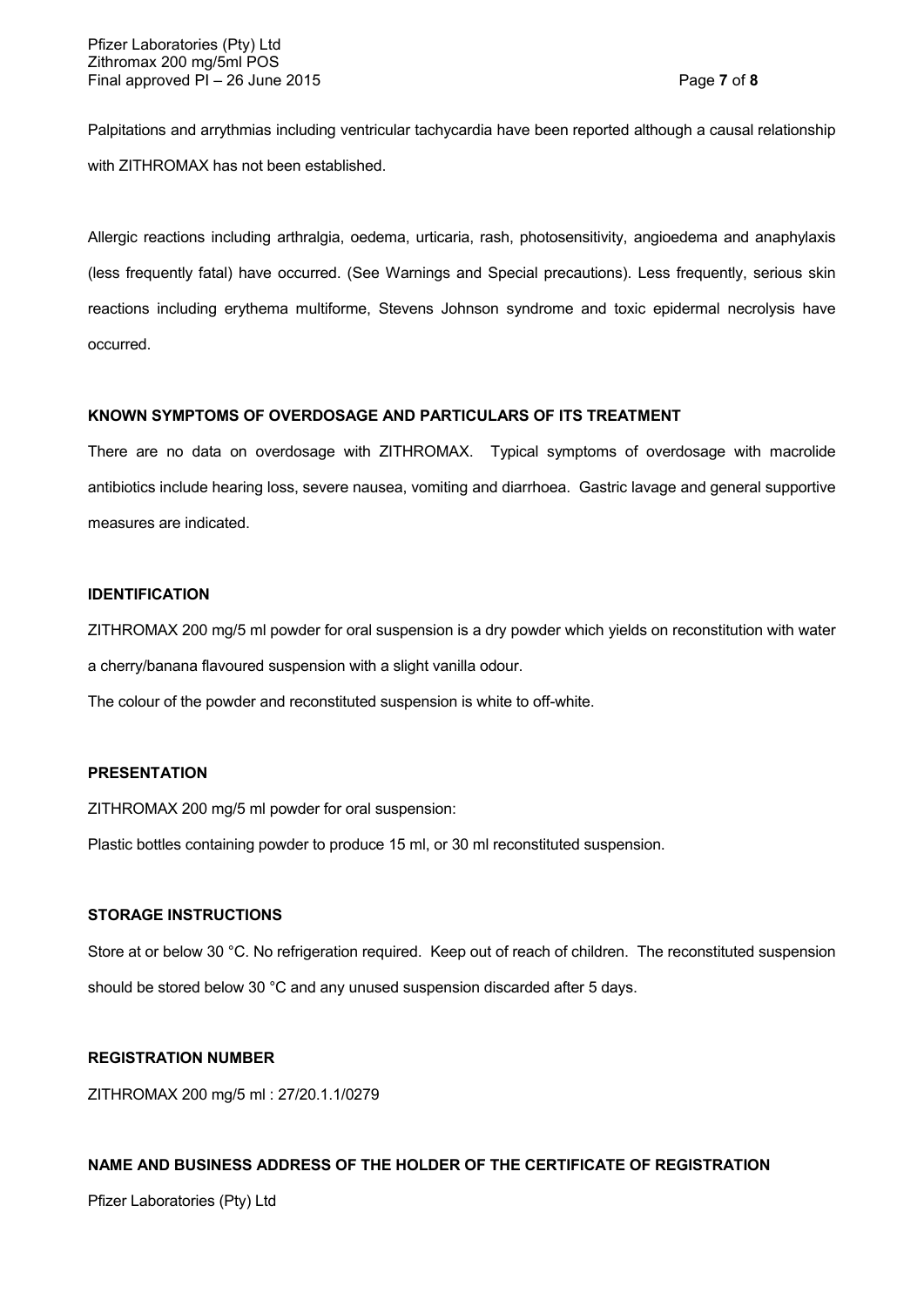Palpitations and arrythmias including ventricular tachycardia have been reported although a causal relationship with ZITHROMAX has not been established.

Allergic reactions including arthralgia, oedema, urticaria, rash, photosensitivity, angioedema and anaphylaxis (less frequently fatal) have occurred. (See Warnings and Special precautions). Less frequently, serious skin reactions including erythema multiforme, Stevens Johnson syndrome and toxic epidermal necrolysis have occurred.

## **KNOWN SYMPTOMS OF OVERDOSAGE AND PARTICULARS OF ITS TREATMENT**

There are no data on overdosage with ZITHROMAX. Typical symptoms of overdosage with macrolide antibiotics include hearing loss, severe nausea, vomiting and diarrhoea. Gastric lavage and general supportive measures are indicated.

## **IDENTIFICATION**

ZITHROMAX 200 mg/5 ml powder for oral suspension is a dry powder which yields on reconstitution with water a cherry/banana flavoured suspension with a slight vanilla odour.

The colour of the powder and reconstituted suspension is white to off-white.

## **PRESENTATION**

ZITHROMAX 200 mg/5 ml powder for oral suspension:

Plastic bottles containing powder to produce 15 ml, or 30 ml reconstituted suspension.

#### **STORAGE INSTRUCTIONS**

Store at or below 30 °C. No refrigeration required. Keep out of reach of children. The reconstituted suspension should be stored below 30 °C and any unused suspension discarded after 5 days.

## **REGISTRATION NUMBER**

ZITHROMAX 200 mg/5 ml : 27/20.1.1/0279

## **NAME AND BUSINESS ADDRESS OF THE HOLDER OF THE CERTIFICATE OF REGISTRATION**

Pfizer Laboratories (Pty) Ltd